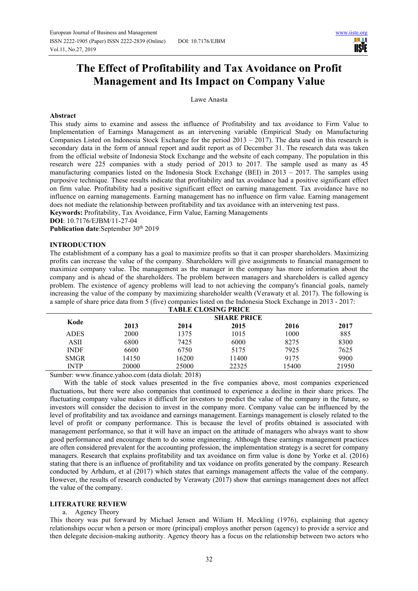HH I **USIE** 

# **The Effect of Profitability and Tax Avoidance on Profit Management and Its Impact on Company Value**

Lawe Anasta

#### **Abstract**

This study aims to examine and assess the influence of Profitability and tax avoidance to Firm Value to Implementation of Earnings Management as an intervening variable (Empirical Study on Manufacturing Companies Listed on Indonesia Stock Exchange for the period  $2013 - 2017$ ). The data used in this research is secondary data in the form of annual report and audit report as of December 31. The research data was taken from the official website of Indonesia Stock Exchange and the website of each company. The population in this research were 225 companies with a study period of 2013 to 2017. The sample used as many as 45 manufacturing companies listed on the Indonesia Stock Exchange (BEI) in 2013 – 2017. The samples using purposive technique. These results indicate that profitability and tax avoidance had a positive significant effect on firm value. Profitability had a positive significant effect on earning management. Tax avoidance have no influence on earning managements. Earning management has no influence on firm value. Earning management does not mediate the relationship between profitability and tax avoidance with an intervening test pass.

**Keywords:** Profitability, Tax Avoidance, Firm Value, Earning Managements

**DOI**: 10.7176/EJBM/11-27-04

Publication date:September 30<sup>th</sup> 2019

#### **INTRODUCTION**

The establishment of a company has a goal to maximize profits so that it can prosper shareholders. Maximizing profits can increase the value of the company. Shareholders will give assignments to financial management to maximize company value. The management as the manager in the company has more information about the company and is ahead of the shareholders. The problem between managers and shareholders is called agency problem. The existence of agency problems will lead to not achieving the company's financial goals, namely increasing the value of the company by maximizing shareholder wealth (Verawaty et al. 2017). The following is a sample of share price data from 5 (five) companies listed on the Indonesia Stock Exchange in 2013 - 2017:

| <b>TABLE CLOSING PRICE</b> |                    |       |       |       |       |  |  |  |
|----------------------------|--------------------|-------|-------|-------|-------|--|--|--|
| Kode                       | <b>SHARE PRICE</b> |       |       |       |       |  |  |  |
|                            | 2013               | 2014  | 2015  | 2016  | 2017  |  |  |  |
| <b>ADES</b>                | 2000               | 1375  | 1015  | 1000  | 885   |  |  |  |
| ASII                       | 6800               | 7425  | 6000  | 8275  | 8300  |  |  |  |
| <b>INDF</b>                | 6600               | 6750  | 5175  | 7925  | 7625  |  |  |  |
| <b>SMGR</b>                | 14150              | 16200 | 11400 | 9175  | 9900  |  |  |  |
| <b>INTP</b>                | 20000              | 25000 | 22325 | 15400 | 21950 |  |  |  |

Sumber: www.finance.yahoo.com (data diolah: 2018)

With the table of stock values presented in the five companies above, most companies experienced fluctuations, but there were also companies that continued to experience a decline in their share prices. The fluctuating company value makes it difficult for investors to predict the value of the company in the future, so investors will consider the decision to invest in the company more. Company value can be influenced by the level of profitability and tax avoidance and earnings management. Earnings management is closely related to the level of profit or company performance. This is because the level of profits obtained is associated with management performance, so that it will have an impact on the attitude of managers who always want to show good performance and encourage them to do some engineering. Although these earnings management practices are often considered prevalent for the accounting profession, the implementation strategy is a secret for company managers. Research that explains profitability and tax avoidance on firm value is done by Yorke et al. (2016) stating that there is an influence of profitability and tax voidance on profits generated by the company. Research conducted by Arhdum, et al (2017) which states that earnings management affects the value of the company. However, the results of research conducted by Verawaty (2017) show that earnings management does not affect the value of the company.

#### **LITERATURE REVIEW**

#### a. Agency Theory

This theory was put forward by Michael Jensen and Wiliam H. Meckling (1976), explaining that agency relationships occur when a person or more (principal) employs another person (agency) to provide a service and then delegate decision-making authority. Agency theory has a focus on the relationship between two actors who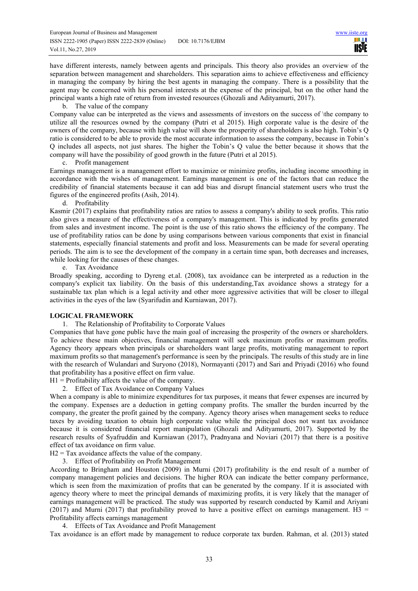have different interests, namely between agents and principals. This theory also provides an overview of the separation between management and shareholders. This separation aims to achieve effectiveness and efficiency in managing the company by hiring the best agents in managing the company. There is a possibility that the agent may be concerned with his personal interests at the expense of the principal, but on the other hand the principal wants a high rate of return from invested resources (Ghozali and Adityamurti, 2017).

#### b. The value of the company

Company value can be interpreted as the views and assessments of investors on the success of \the company to utilize all the resources owned by the company (Putri et al 2015). High corporate value is the desire of the owners of the company, because with high value will show the prosperity of shareholders is also high. Tobin's Q ratio is considered to be able to provide the most accurate information to assess the company, because in Tobin's Q includes all aspects, not just shares. The higher the Tobin's Q value the better because it shows that the company will have the possibility of good growth in the future (Putri et al 2015).

c. Profit management

Earnings management is a management effort to maximize or minimize profits, including income smoothing in accordance with the wishes of management. Earnings management is one of the factors that can reduce the credibility of financial statements because it can add bias and disrupt financial statement users who trust the figures of the engineered profits (Asih, 2014).

d. Profitability

Kasmir (2017) explains that profitability ratios are ratios to assess a company's ability to seek profits. This ratio also gives a measure of the effectiveness of a company's management. This is indicated by profits generated from sales and investment income. The point is the use of this ratio shows the efficiency of the company. The use of profitability ratios can be done by using comparisons between various components that exist in financial statements, especially financial statements and profit and loss. Measurements can be made for several operating periods. The aim is to see the development of the company in a certain time span, both decreases and increases, while looking for the causes of these changes.

e. Tax Avoidance

Broadly speaking, according to Dyreng et.al. (2008), tax avoidance can be interpreted as a reduction in the company's explicit tax liability. On the basis of this understanding,Tax avoidance shows a strategy for a sustainable tax plan which is a legal activity and other more aggressive activities that will be closer to illegal activities in the eyes of the law (Syarifudin and Kurniawan, 2017).

# **LOGICAL FRAMEWORK**

1. The Relationship of Profitability to Corporate Values

Companies that have gone public have the main goal of increasing the prosperity of the owners or shareholders. To achieve these main objectives, financial management will seek maximum profits or maximum profits. Agency theory appears when principals or shareholders want large profits, motivating management to report maximum profits so that management's performance is seen by the principals. The results of this study are in line with the research of Wulandari and Suryono (2018), Normayanti (2017) and Sari and Priyadi (2016) who found that profitability has a positive effect on firm value.

# $H1$  = Profitability affects the value of the company.

2. Effect of Tax Avoidance on Company Values

When a company is able to minimize expenditures for tax purposes, it means that fewer expenses are incurred by the company. Expenses are a deduction in getting company profits. The smaller the burden incurred by the company, the greater the profit gained by the company. Agency theory arises when management seeks to reduce taxes by avoiding taxation to obtain high corporate value while the principal does not want tax avoidance because it is considered financial report manipulation (Ghozali and Adityamurti, 2017). Supported by the research results of Syafruddin and Kurniawan (2017), Pradnyana and Noviari (2017) that there is a positive effect of tax avoidance on firm value.

 $H2 = Tax avoidance affects the value of the company.$ 

3. Effect of Profitability on Profit Management

According to Bringham and Houston (2009) in Murni (2017) profitability is the end result of a number of company management policies and decisions. The higher ROA can indicate the better company performance, which is seen from the maximization of profits that can be generated by the company. If it is associated with agency theory where to meet the principal demands of maximizing profits, it is very likely that the manager of earnings management will be practiced. The study was supported by research conducted by Kamil and Ariyani (2017) and Murni (2017) that profitability proved to have a positive effect on earnings management. H3 = Profitability affects earnings management

4. Effects of Tax Avoidance and Profit Management

Tax avoidance is an effort made by management to reduce corporate tax burden. Rahman, et al. (2013) stated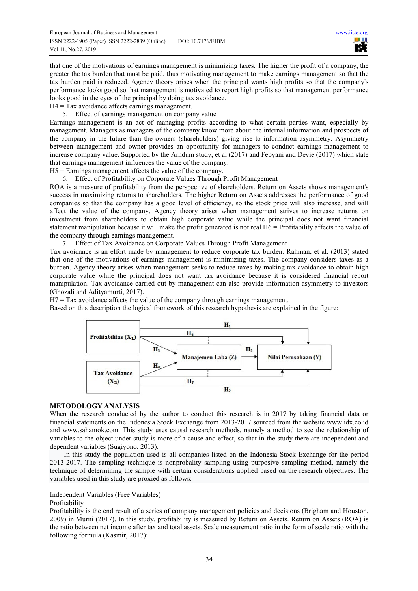шı **USIE** 

that one of the motivations of earnings management is minimizing taxes. The higher the profit of a company, the greater the tax burden that must be paid, thus motivating management to make earnings management so that the tax burden paid is reduced. Agency theory arises when the principal wants high profits so that the company's performance looks good so that management is motivated to report high profits so that management performance looks good in the eyes of the principal by doing tax avoidance.

 $H4 = Tax$  avoidance affects earnings management.

5. Effect of earnings management on company value

Earnings management is an act of managing profits according to what certain parties want, especially by management. Managers as managers of the company know more about the internal information and prospects of the company in the future than the owners (shareholders) giving rise to information asymmetry. Asymmetry between management and owner provides an opportunity for managers to conduct earnings management to increase company value. Supported by the Arhdum study, et al (2017) and Febyani and Devie (2017) which state that earnings management influences the value of the company.

- H5 = Earnings management affects the value of the company.
- 6. Effect of Profitability on Corporate Values Through Profit Management

ROA is a measure of profitability from the perspective of shareholders. Return on Assets shows management's success in maximizing returns to shareholders. The higher Return on Assets addresses the performance of good companies so that the company has a good level of efficiency, so the stock price will also increase, and will affect the value of the company. Agency theory arises when management strives to increase returns on investment from shareholders to obtain high corporate value while the principal does not want financial statement manipulation because it will make the profit generated is not real. $H6 =$  Profitability affects the value of the company through earnings management.

7. Effect of Tax Avoidance on Corporate Values Through Profit Management

Tax avoidance is an effort made by management to reduce corporate tax burden. Rahman, et al. (2013) stated that one of the motivations of earnings management is minimizing taxes. The company considers taxes as a burden. Agency theory arises when management seeks to reduce taxes by making tax avoidance to obtain high corporate value while the principal does not want tax avoidance because it is considered financial report manipulation. Tax avoidance carried out by management can also provide information asymmetry to investors (Ghozali and Adityamurti, 2017).

 $H7 = Tax$  avoidance affects the value of the company through earnings management.

Based on this description the logical framework of this research hypothesis are explained in the figure:



# **METODOLOGY ANALYSIS**

When the research conducted by the author to conduct this research is in 2017 by taking financial data or financial statements on the Indonesia Stock Exchange from 2013-2017 sourced from the website www.idx.co.id and www.sahamok.com. This study uses causal research methods, namely a method to see the relationship of variables to the object under study is more of a cause and effect, so that in the study there are independent and dependent variables (Sugiyono, 2013).

In this study the population used is all companies listed on the Indonesia Stock Exchange for the period 2013-2017. The sampling technique is nonprobality sampling using purposive sampling method, namely the technique of determining the sample with certain considerations applied based on the research objectives. The variables used in this study are proxied as follows:

# Independent Variables (Free Variables)

# Profitability

Profitability is the end result of a series of company management policies and decisions (Brigham and Houston, 2009) in Murni (2017). In this study, profitability is measured by Return on Assets. Return on Assets (ROA) is the ratio between net income after tax and total assets. Scale measurement ratio in the form of scale ratio with the following formula (Kasmir, 2017):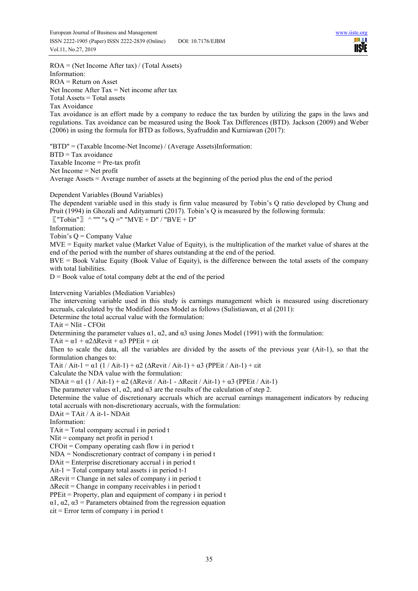ROA = (Net Income After tax) / (Total Assets) Information: ROA = Return on Asset Net Income After Tax  $=$  Net income after tax Total Assets = Total assets Tax Avoidance Tax avoidance is an effort made by a company to reduce the tax burden by utilizing the gaps in the laws and regulations. Tax avoidance can be measured using the Book Tax Differences (BTD). Jackson (2009) and Weber (2006) in using the formula for BTD as follows, Syafruddin and Kurniawan (2017): "BTD" = (Taxable Income-Net Income) / (Average Assets)Information: BTD = Tax avoidance Taxable Income = Pre-tax profit Net Income = Net profit Average Assets = Average number of assets at the beginning of the period plus the end of the period Dependent Variables (Bound Variables) The dependent variable used in this study is firm value measured by Tobin's Q ratio developed by Chung and Pruit (1994) in Ghozali and Adityamurti (2017). Tobin's Q is measured by the following formula:  $\lbrack$  "Tobin"  $\rbrack$   $\wedge$  """ "s Q =" "MVE + D" / "BVE + D" Information: Tobin's Q = Company Value MVE = Equity market value (Market Value of Equity), is the multiplication of the market value of shares at the end of the period with the number of shares outstanding at the end of the period. BVE = Book Value Equity (Book Value of Equity), is the difference between the total assets of the company with total liabilities.  $D = Book$  value of total company debt at the end of the period Intervening Variables (Mediation Variables) The intervening variable used in this study is earnings management which is measured using discretionary accruals, calculated by the Modified Jones Model as follows (Sulistiawan, et al (2011): Determine the total accrual value with the formulation: TAit = NIit - CFOit Determining the parameter values  $\alpha$ 1,  $\alpha$ 2, and  $\alpha$ 3 using Jones Model (1991) with the formulation: TAit =  $\alpha$ 1 +  $\alpha$ 2 $\Delta$ Revit +  $\alpha$ 3 PPEit + εit Then to scale the data, all the variables are divided by the assets of the previous year (Ait-1), so that the formulation changes to: TAit / Ait-1 =  $\alpha$ 1 (1 / Ait-1) +  $\alpha$ 2 ( $\Delta$ Revit / Ait-1) +  $\alpha$ 3 (PPEit / Ait-1) +  $\varepsilon$ it Calculate the NDA value with the formulation: NDAit =  $\alpha$ 1 (1 / Ait-1) +  $\alpha$ 2 ( $\Delta$ Revit / Ait-1 -  $\Delta$ Recit / Ait-1) +  $\alpha$ 3 (PPEit / Ait-1) The parameter values  $\alpha$ 1,  $\alpha$ 2, and  $\alpha$ 3 are the results of the calculation of step 2. Determine the value of discretionary accruals which are accrual earnings management indicators by reducing total accruals with non-discretionary accruals, with the formulation:  $DAit = TAit / Ait -1 - NDAit$ Information: TAit = Total company accrual i in period t NIit = company net profit in period t  $CFOit = Company$  operating cash flow i in period t NDA = Nondiscretionary contract of company i in period t DAit = Enterprise discretionary accrual i in period t  $Ait-1$  = Total company total assets i in period  $t-1$  $\Delta$ Revit = Change in net sales of company i in period t ∆Recit = Change in company receivables i in period t PPEit = Property, plan and equipment of company i in period t  $\alpha$ 1,  $\alpha$ 2,  $\alpha$ 3 = Parameters obtained from the regression equation εit = Error term of company i in period t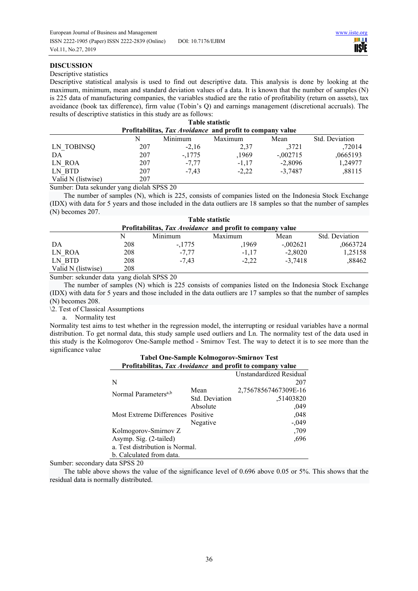шı **IISTE** 

## **DISCUSSION**

#### Descriptive statistics

Descriptive statistical analysis is used to find out descriptive data. This analysis is done by looking at the maximum, minimum, mean and standard deviation values of a data. It is known that the number of samples (N) is 225 data of manufacturing companies, the variables studied are the ratio of profitability (return on assets), tax avoidance (book tax difference), firm value (Tobin's Q) and earnings management (discretional accruals). The results of descriptive statistics in this study are as follows:

| <b>Table statistic</b>                                    |          |         |            |                |  |  |  |  |
|-----------------------------------------------------------|----------|---------|------------|----------------|--|--|--|--|
| Profitabilitas, Tax Avoidance and profit to company value |          |         |            |                |  |  |  |  |
| N                                                         | Minimum  | Maximum | Mean       | Std. Deviation |  |  |  |  |
| 207                                                       | $-2,16$  | 2,37    | .3721      | ,72014         |  |  |  |  |
| 207                                                       | $-.1775$ | ,1969   | $-0.02715$ | ,0665193       |  |  |  |  |
| 207                                                       | $-7,77$  | $-1,17$ | $-2,8096$  | 1,24977        |  |  |  |  |
| 207                                                       | $-7.43$  | $-2,22$ | $-3.7487$  | ,88115         |  |  |  |  |
| 207                                                       |          |         |            |                |  |  |  |  |
|                                                           |          |         |            |                |  |  |  |  |

Sumber: Data sekunder yang diolah SPSS 20

The number of samples (N), which is 225, consists of companies listed on the Indonesia Stock Exchange (IDX) with data for 5 years and those included in the data outliers are 18 samples so that the number of samples (N) becomes 207.

| <b>Table statistic</b>                                    |     |          |         |             |                |  |  |  |
|-----------------------------------------------------------|-----|----------|---------|-------------|----------------|--|--|--|
| Profitabilitas, Tax Avoidance and profit to company value |     |          |         |             |                |  |  |  |
|                                                           | N   | Minimum  | Maximum | Mean        | Std. Deviation |  |  |  |
| DA                                                        | 208 | $-.1775$ | ,1969   | $-0.002621$ | ,0663724       |  |  |  |
| LN ROA                                                    | 208 | $-7,77$  | $-1.17$ | $-2,8020$   | 1,25158        |  |  |  |
| LN BTD                                                    | 208 | $-7.43$  | $-2.22$ | $-3.7418$   | ,88462         |  |  |  |
| Valid N (listwise)                                        | 208 |          |         |             |                |  |  |  |

Sumber: sekunder data yang diolah SPSS 20

The number of samples (N) which is 225 consists of companies listed on the Indonesia Stock Exchange (IDX) with data for 5 years and those included in the data outliers are 17 samples so that the number of samples (N) becomes 208.

\2. Test of Classical Assumptions

a. Normality test

Normality test aims to test whether in the regression model, the interrupting or residual variables have a normal distribution. To get normal data, this study sample used outliers and Ln. The normality test of the data used in this study is the Kolmogorov One-Sample method - Smirnov Test. The way to detect it is to see more than the significance value

| Profitabilitas, Tax Avoidance and profit to company value |                |                         |  |  |  |  |  |
|-----------------------------------------------------------|----------------|-------------------------|--|--|--|--|--|
|                                                           |                | Unstandardized Residual |  |  |  |  |  |
| N                                                         |                | 207                     |  |  |  |  |  |
| Normal Parameters <sup>a,b</sup>                          | Mean           | 2,75678567467309E-16    |  |  |  |  |  |
|                                                           | Std. Deviation | .51403820               |  |  |  |  |  |
|                                                           | Absolute       | .049                    |  |  |  |  |  |
| Most Extreme Differences Positive                         |                | .048                    |  |  |  |  |  |
|                                                           | Negative       | $-.049$                 |  |  |  |  |  |
| Kolmogorov-Smirnov Z                                      |                | .709                    |  |  |  |  |  |
| Asymp. Sig. (2-tailed)                                    | .696           |                         |  |  |  |  |  |
| a. Test distribution is Normal.                           |                |                         |  |  |  |  |  |
| b. Calculated from data.                                  |                |                         |  |  |  |  |  |

# **Tabel One-Sample Kolmogorov-Smirnov Test**

Sumber: secondary data SPSS 20

The table above shows the value of the significance level of 0.696 above 0.05 or 5%. This shows that the residual data is normally distributed.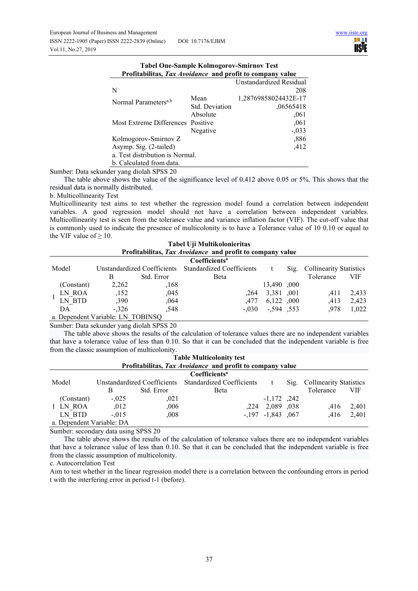| Profitabilitas, Tax Avoidance and profit to company value |                |                         |
|-----------------------------------------------------------|----------------|-------------------------|
|                                                           |                | Unstandardized Residual |
| N                                                         |                | 208                     |
| Normal Parameters <sup>a,b</sup>                          | Mean           | 1,28769858024432E-17    |
|                                                           | Std. Deviation | .06565418               |
|                                                           | Absolute       | .061                    |
| Most Extreme Differences Positive                         |                | ,061                    |
|                                                           | Negative       | $-.033$                 |
| Kolmogorov-Smirnov Z                                      |                | ,886                    |
| Asymp. Sig. (2-tailed)                                    |                | .412                    |
| a. Test distribution is Normal.                           |                |                         |
| b. Calculated from data.                                  |                |                         |

| <b>Tabel One-Sample Kolmogorov-Smirnov Test</b>           |  |  |  |  |  |  |
|-----------------------------------------------------------|--|--|--|--|--|--|
| Profitabilitas, Tax Avoidance and profit to company value |  |  |  |  |  |  |
| Unstandardized Resid                                      |  |  |  |  |  |  |
|                                                           |  |  |  |  |  |  |

Sumber: Data sekunder yang diolah SPSS 20

The table above shows the value of the significance level of 0.412 above 0.05 or 5%. This shows that the residual data is normally distributed.

b. Multicollinearity Test

Multicollinearity test aims to test whether the regression model found a correlation between independent variables. A good regression model should not have a correlation between independent variables. Multicollinearity test is seen from the tolerance value and variance inflation factor (VIF). The cut-off value that is commonly used to indicate the presence of multicolonity is to have a Tolerance value of 10 0.10 or equal to the VIF value of  $\geq 10$ . **Tabel Uji Multikolonieritas** 

|                                                           |                                                       |            | Tabel Uµ Multikolonieritas |             |  |                              |            |  |
|-----------------------------------------------------------|-------------------------------------------------------|------------|----------------------------|-------------|--|------------------------------|------------|--|
| Profitabilitas, Tax Avoidance and profit to company value |                                                       |            |                            |             |  |                              |            |  |
|                                                           |                                                       |            | Coefficients <sup>a</sup>  |             |  |                              |            |  |
| Model                                                     | Unstandardized Coefficients Standardized Coefficients |            |                            |             |  | Sig. Collinearity Statistics |            |  |
|                                                           | В                                                     | Std. Error | Beta                       |             |  | Tolerance                    | <b>VIF</b> |  |
| (Constant)                                                | 2,262                                                 | .168       |                            | 13,490, 000 |  |                              |            |  |
| LN ROA                                                    | ,152                                                  | .045       | .264                       | 3,381,001   |  | .411                         | 2,433      |  |
| LN BTD                                                    | ,390                                                  | .064       | .477                       | 6,122,000   |  | .413                         | 2,423      |  |
| DA                                                        | $-.326$                                               | ,548       | $-.030$                    | .594.553    |  | .978                         | 1,022      |  |

a. Dependent Variable: LN\_TOBINSQ

Sumber: Data sekunder yang diolah SPSS 20

The table above shows the results of the calculation of tolerance values there are no independent variables that have a tolerance value of less than 0.10. So that it can be concluded that the independent variable is free from the classic assumption of multicolonity.

| <b>Table Multicolonity test</b>                           |          |                                  |                           |                         |                                |           |            |
|-----------------------------------------------------------|----------|----------------------------------|---------------------------|-------------------------|--------------------------------|-----------|------------|
| Profitabilitas, Tax Avoidance and profit to company value |          |                                  |                           |                         |                                |           |            |
|                                                           |          |                                  | Coefficients <sup>a</sup> |                         |                                |           |            |
| Model<br>Unstandardized Coefficients                      |          | <b>Standardized Coefficients</b> |                           | $\mathrm{Sig.}$         | <b>Collinearity Statistics</b> |           |            |
|                                                           | В        | Std. Error                       | Beta                      |                         |                                | Tolerance | <b>VIF</b> |
| (Constant)                                                | $-.025$  | .021                             |                           | $-1,172$ , 242          |                                |           |            |
| 1 LN ROA                                                  | .012     | ,006                             |                           | ,224 2,089 ,038         |                                | .416      | 2,401      |
| LN BTD                                                    | $-0.015$ | .008                             |                           | $-.197$ $-.1843$ $.067$ |                                | .416      | 2,401      |
| a. Dependent Variable: DA                                 |          |                                  |                           |                         |                                |           |            |

Sumber: secondary data using SPSS 20

The table above shows the results of the calculation of tolerance values there are no independent variables that have a tolerance value of less than 0.10. So that it can be concluded that the independent variable is free from the classic assumption of multicolonity.

c. Autocorrelation Test

Aim to test whether in the linear regression model there is a correlation between the confounding errors in period t with the interfering error in period t-1 (before).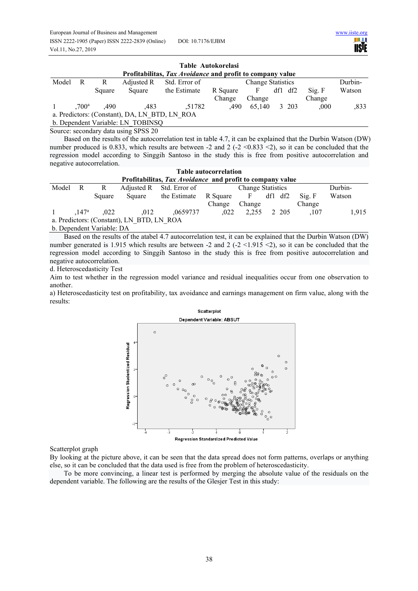| www.iiste.org |             |
|---------------|-------------|
|               | <b>USIE</b> |

| Table Autokorelasi<br>Profitabilitas, Tax Avoidance and profit to company value |   |                               |                                      |               |          |                          |  |         |        |         |
|---------------------------------------------------------------------------------|---|-------------------------------|--------------------------------------|---------------|----------|--------------------------|--|---------|--------|---------|
| Model                                                                           | R | R                             | Adjusted R                           | Std. Error of |          | <b>Change Statistics</b> |  |         |        | Durbin- |
|                                                                                 |   | Square                        | Square                               | the Estimate  | R Square | F                        |  | df1 df2 | Sig. F | Watson  |
|                                                                                 |   |                               |                                      |               | Change   | Change                   |  |         | Change |         |
|                                                                                 |   | $,700^{\rm a}$ $,490^{\circ}$ | .483                                 | .51782        | .490     | 65.140                   |  | 3 203   | .000   | .833    |
| a. Predictors: (Constant), DA, LN BTD, LN ROA                                   |   |                               |                                      |               |          |                          |  |         |        |         |
| b. Dependent Variable: LN TOBINSQ                                               |   |                               |                                      |               |          |                          |  |         |        |         |
|                                                                                 |   |                               | Source: secondary data using CDCC 20 |               |          |                          |  |         |        |         |

Source: secondary data using SPSS 20

Based on the results of the autocorrelation test in table 4.7, it can be explained that the Durbin Watson (DW) number produced is 0.833, which results are between -2 and 2 (-2 <0.833 <2), so it can be concluded that the regression model according to Singgih Santoso in the study this is free from positive autocorrelation and negative autocorrelation.

| <b>Table autocorrelation</b>                              |  |                       |        |                          |          |                          |  |         |                             |         |
|-----------------------------------------------------------|--|-----------------------|--------|--------------------------|----------|--------------------------|--|---------|-----------------------------|---------|
| Profitabilitas, Tax Avoidance and profit to company value |  |                       |        |                          |          |                          |  |         |                             |         |
| Model R                                                   |  | R                     |        | Adjusted R Std. Error of |          | <b>Change Statistics</b> |  |         |                             | Durbin- |
|                                                           |  | Square                | Square | the Estimate             | R Square | F df1 df2                |  |         | $\mathrm{Si}\mathrm{g}$ . F | Watson  |
|                                                           |  |                       |        |                          | Change   | Change                   |  |         | Change                      |         |
|                                                           |  | $.147^{\rm a}$ $.022$ | .012   | .0659737                 | .022     | 2.255                    |  | 2 2 0 5 | .107                        | 1.915   |
| a. Predictors: (Constant), LN BTD, LN ROA                 |  |                       |        |                          |          |                          |  |         |                             |         |

b. Dependent Variable: DA

Based on the results of the atabel 4.7 autocorrelation test, it can be explained that the Durbin Watson (DW) number generated is 1.915 which results are between -2 and 2 (-2 <1.915 <2), so it can be concluded that the regression model according to Singgih Santoso in the study this is free from positive autocorrelation and negative autocorrelation.

d. Heteroscedasticity Test

Aim to test whether in the regression model variance and residual inequalities occur from one observation to another.

a) Heteroscedasticity test on profitability, tax avoidance and earnings management on firm value, along with the results:



Scatterplot graph

By looking at the picture above, it can be seen that the data spread does not form patterns, overlaps or anything else, so it can be concluded that the data used is free from the problem of heteroscedasticity.

To be more convincing, a linear test is performed by merging the absolute value of the residuals on the dependent variable. The following are the results of the Glesjer Test in this study: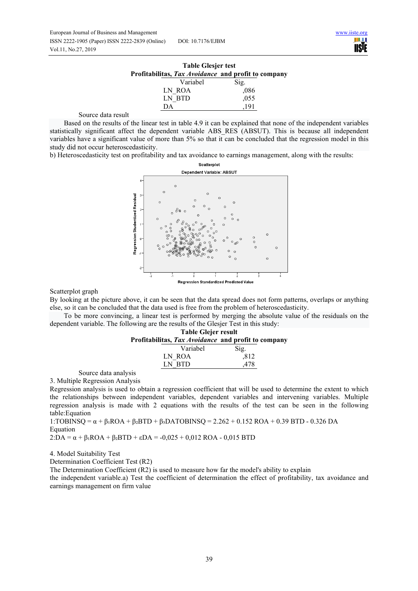| <b>Table Glesjer test</b>                           |      |  |  |  |  |  |
|-----------------------------------------------------|------|--|--|--|--|--|
| Profitabilitas, Tax Avoidance and profit to company |      |  |  |  |  |  |
| Variabel                                            | Sig. |  |  |  |  |  |
| LN ROA                                              | .086 |  |  |  |  |  |
| LN RTD                                              | ,055 |  |  |  |  |  |

Source data result

Based on the results of the linear test in table 4.9 it can be explained that none of the independent variables statistically significant affect the dependent variable ABS\_RES (ABSUT). This is because all independent variables have a significant value of more than 5% so that it can be concluded that the regression model in this study did not occur heteroscedasticity.

DA ,191

b) Heteroscedasticity test on profitability and tax avoidance to earnings management, along with the results:



Regression Standardized Predicted Value

Scatterplot graph

By looking at the picture above, it can be seen that the data spread does not form patterns, overlaps or anything else, so it can be concluded that the data used is free from the problem of heteroscedasticity.

To be more convincing, a linear test is performed by merging the absolute value of the residuals on the dependent variable. The following are the results of the Glesjer Test in this study:

|     | <b>Table Glejer result</b> |                                                     |  |  |  |  |
|-----|----------------------------|-----------------------------------------------------|--|--|--|--|
|     |                            | Profitabilitas, Tax Avoidance and profit to company |  |  |  |  |
|     | Variabel                   | Sig.                                                |  |  |  |  |
|     | LN ROA                     | .812                                                |  |  |  |  |
| IN. | <b>BTD</b>                 | 478                                                 |  |  |  |  |

Source data analysis

3. Multiple Regression Analysis Regression analysis is used to obtain a regression coefficient that will be used to determine the extent to which the relationships between independent variables, dependent variables and intervening variables. Multiple regression analysis is made with 2 equations with the results of the test can be seen in the following table:Equation

1:TOBINSQ =  $\alpha$  +  $\beta$ <sub>1</sub>ROA +  $\beta$ <sub>2</sub>BTD +  $\beta$ <sub>3</sub>DATOBINSQ = 2.262 + 0.152 ROA + 0.39 BTD - 0.326 DA Equation

2:DA =  $\alpha$  +  $\beta$ <sub>1</sub>ROA +  $\beta$ <sub>2</sub>BTD +  $\epsilon$ DA = -0,025 + 0,012 ROA - 0,015 BTD

4. Model Suitability Test

Determination Coefficient Test (R2)

The Determination Coefficient (R2) is used to measure how far the model's ability to explain

the independent variable.a) Test the coefficient of determination the effect of profitability, tax avoidance and earnings management on firm value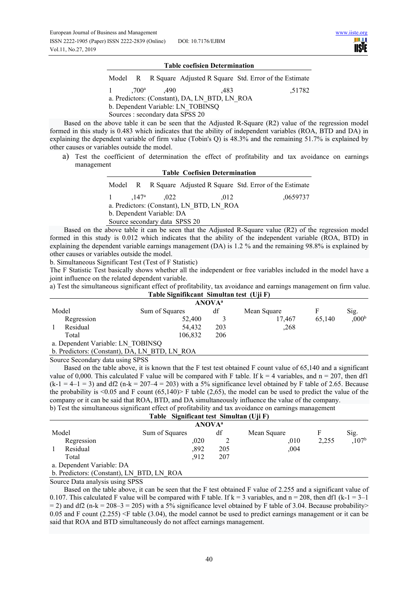| <b>Table coefisien Determination</b> |  |                                  |                                               |                                                               |  |  |  |
|--------------------------------------|--|----------------------------------|-----------------------------------------------|---------------------------------------------------------------|--|--|--|
|                                      |  |                                  |                                               | Model R R Square Adjusted R Square Std. Error of the Estimate |  |  |  |
| $\mathbf{1}$                         |  | $.700^{\rm a}$ .490              | .483                                          | .51782                                                        |  |  |  |
|                                      |  |                                  | a. Predictors: (Constant), DA, LN BTD, LN ROA |                                                               |  |  |  |
|                                      |  |                                  | b. Dependent Variable: LN TOBINSO             |                                                               |  |  |  |
|                                      |  | Sources : secondary data SPSS 20 |                                               |                                                               |  |  |  |

Based on the above table it can be seen that the Adjusted R-Square (R2) value of the regression model formed in this study is 0.483 which indicates that the ability of independent variables (ROA, BTD and DA) in explaining the dependent variable of firm value (Tobin's Q) is 48.3% and the remaining 51.7% is explained by other causes or variables outside the model.

a) Test the coefficient of determination the effect of profitability and tax avoidance on earnings management **Table Coefisien Determination** 

| Tadie Coensien Determination |  |                               |                                                               |  |          |  |
|------------------------------|--|-------------------------------|---------------------------------------------------------------|--|----------|--|
|                              |  |                               | Model R R Square Adjusted R Square Std. Error of the Estimate |  |          |  |
|                              |  | 1 $.147^{\circ}$ $.022$       | .012                                                          |  | ,0659737 |  |
|                              |  |                               | a. Predictors: (Constant), LN BTD, LN ROA                     |  |          |  |
|                              |  | b. Dependent Variable: DA     |                                                               |  |          |  |
|                              |  | Source secondary data SPSS 20 |                                                               |  |          |  |
|                              |  |                               | $1 \t{11}$ $1 \t{1}$ $1 \t{1}$ $1 \t{1}$ $1 \t{1}$ $1 \t{1}$  |  | (2.2)    |  |

Based on the above table it can be seen that the Adjusted R-Square value (R2) of the regression model formed in this study is 0.012 which indicates that the ability of the independent variable (ROA, BTD) in explaining the dependent variable earnings management (DA) is 1.2 % and the remaining 98.8% is explained by other causes or variables outside the model.

b. Simultaneous Significant Test (Test of F Statistic)

The F Statistic Test basically shows whether all the independent or free variables included in the model have a joint influence on the related dependent variable.

a) Test the simultaneous significant effect of profitability, tax avoidance and earnings management on firm value. **Table Signifikcant Simultan test (Uji F)** 

|          |                                               |         | <b>ANOVA</b> <sup>a</sup> |             |        |                   |
|----------|-----------------------------------------------|---------|---------------------------|-------------|--------|-------------------|
| Model    | Sum of Squares                                |         | df                        | Mean Square |        | Sig.              |
|          | Regression                                    | 52,400  |                           | 17.467      | 65,140 | ,000 <sup>b</sup> |
| Residual |                                               | 54,432  | 203                       | ,268        |        |                   |
| Total    |                                               | 106.832 | 206                       |             |        |                   |
|          | a. Dependent Variable: LN TOBINSQ             |         |                           |             |        |                   |
|          | b. Predictors: (Constant), DA, LN BTD, LN ROA |         |                           |             |        |                   |

Source Secondary data using SPSS

Based on the table above, it is known that the F test test obtained F count value of 65,140 and a significant value of 0,000. This calculated F value will be compared with F table. If  $k = 4$  variables, and  $n = 207$ , then df1  $(k-1 = 4-1 = 3)$  and df2 (n-k = 207-4 = 203) with a 5% significance level obtained by F table of 2.65. Because the probability is  $\leq 0.05$  and F count  $(65.140)$  F table  $(2.65)$ , the model can be used to predict the value of the company or it can be said that ROA, BTD, and DA simultaneously influence the value of the company. b) Test the simultaneous significant effect of profitability and tax avoidance on earnings management

# **Table Significant test Simultan (Uji F)**

|                                           | $\frac{1}{2}$  |      |     |             |       |                   |  |  |
|-------------------------------------------|----------------|------|-----|-------------|-------|-------------------|--|--|
| <b>ANOVA</b> <sup>a</sup>                 |                |      |     |             |       |                   |  |  |
| Model                                     | Sum of Squares |      | df  | Mean Square |       | Sig.              |  |  |
| Regression                                |                | .020 |     | .010        | 2.255 | ,107 <sup>b</sup> |  |  |
| Residual                                  |                | ,892 | 205 | ,004        |       |                   |  |  |
| Total                                     |                | .912 | 207 |             |       |                   |  |  |
| a. Dependent Variable: DA                 |                |      |     |             |       |                   |  |  |
| b. Predictors: (Constant), LN BTD, LN ROA |                |      |     |             |       |                   |  |  |
|                                           |                |      |     |             |       |                   |  |  |

Source Data analysis using SPSS

Based on the table above, it can be seen that the F test obtained F value of 2.255 and a significant value of 0.107. This calculated F value will be compared with F table. If  $k = 3$  variables, and  $n = 208$ , then df1 (k-1 = 3–1)  $= 2$ ) and df2 (n-k = 208–3 = 205) with a 5% significance level obtained by F table of 3.04. Because probability> 0.05 and F count  $(2.255)$   $\leq$  F table  $(3.04)$ , the model cannot be used to predict earnings management or it can be said that ROA and BTD simultaneously do not affect earnings management.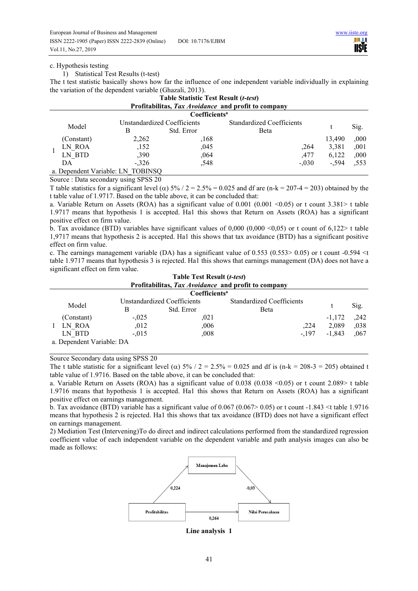#### c. Hypothesis testing

1) Statistical Test Results (t-test)

The t test statistic basically shows how far the influence of one independent variable individually in explaining the variation of the dependent variable (Ghazali, 2013).

|            |                             |                                   | <b>Table Statistic Test Result (t-test)</b> | Profitabilitas, Tax Avoidance and profit to company |         |      |
|------------|-----------------------------|-----------------------------------|---------------------------------------------|-----------------------------------------------------|---------|------|
|            |                             |                                   | Coefficients <sup>a</sup>                   |                                                     |         |      |
| Model      | Unstandardized Coefficients |                                   | Standardized Coefficients                   |                                                     | Sig.    |      |
|            | В                           | Std. Error                        | Beta                                        |                                                     |         |      |
| (Constant) |                             | 2,262                             | ,168                                        |                                                     | 13.490  | ,000 |
| LN ROA     |                             | .152                              | .045                                        | .264                                                | 3.381   | .001 |
| LN BTD     |                             | ,390                              | .064                                        | .477                                                | 6,122   | ,000 |
| DА         |                             | $-.326$                           | .548                                        | $-.030$                                             | $-.594$ | ,553 |
|            |                             | a. Dependent Variable: LN TOBINSQ |                                             |                                                     |         |      |

Source : Data secondary using SPSS 20

T table statistics for a significant level ( $\alpha$ ) 5% / 2 = 2.5% = 0.025 and df are (n-k = 207-4 = 203) obtained by the t table value of 1.9717. Based on the table above, it can be concluded that:

a. Variable Return on Assets (ROA) has a significant value of 0.001 (0.001 <0.05) or t count 3.381> t table 1.9717 means that hypothesis 1 is accepted. Ha1 this shows that Return on Assets (ROA) has a significant positive effect on firm value.

b. Tax avoidance (BTD) variables have significant values of  $0,000 (0,000 \le 0,05)$  or t count of  $6,122$  table 1,9717 means that hypothesis 2 is accepted. Ha1 this shows that tax avoidance (BTD) has a significant positive effect on firm value.

c. The earnings management variable (DA) has a significant value of 0.553 (0.553> 0.05) or t count -0.594 <t table 1.9717 means that hypothesis 3 is rejected. Ha1 this shows that earnings management (DA) does not have a significant effect on firm value. **Table Test Result (***t-test***)** 

|                           |                             | Table Test Result ( <i>t-test</i> ) |                                                     |          |      |
|---------------------------|-----------------------------|-------------------------------------|-----------------------------------------------------|----------|------|
|                           |                             |                                     | Profitabilitas, Tax Avoidance and profit to company |          |      |
|                           |                             | Coefficients <sup>a</sup>           |                                                     |          |      |
|                           | Unstandardized Coefficients |                                     | Standardized Coefficients                           |          |      |
| Model                     | B                           | Std. Error                          | Beta                                                |          | Sig. |
| (Constant)                | $-.025$                     | ,021                                |                                                     | $-1.172$ | ,242 |
| LN ROA                    | ,012                        | ,006                                | .224                                                | 2.089    | .038 |
| LN BTD                    | $-.015$                     | ,008                                | $-.197$                                             | $-1.843$ | .067 |
| a. Dependent Variable: DA |                             |                                     |                                                     |          |      |

Source Secondary data using SPSS 20

The t table statistic for a significant level ( $\alpha$ ) 5% / 2 = 2.5% = 0.025 and df is (n-k = 208-3 = 205) obtained t table value of 1.9716. Based on the table above, it can be concluded that:

a. Variable Return on Assets (ROA) has a significant value of 0.038 (0.038 <0.05) or t count 2.089> t table 1.9716 means that hypothesis 1 is accepted. Ha1 this shows that Return on Assets (ROA) has a significant positive effect on earnings management.

b. Tax avoidance (BTD) variable has a significant value of  $0.067$  (0.067> 0.05) or t count -1.843 <t table 1.9716 means that hypothesis 2 is rejected. Ha1 this shows that tax avoidance (BTD) does not have a significant effect on earnings management.

2) Mediation Test (Intervening)To do direct and indirect calculations performed from the standardized regression coefficient value of each independent variable on the dependent variable and path analysis images can also be made as follows:



**Line analysis 1**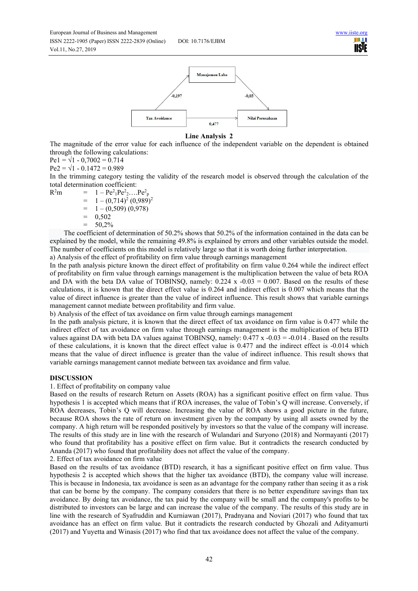



#### **Line Analysis 2**

The magnitude of the error value for each influence of the independent variable on the dependent is obtained through the following calculations:

 $Pe1 = \sqrt{1 - 0,7002} = 0.714$ 

 $Pe2 = \sqrt{1 - 0.1472} = 0.989$ 

In the trimming category testing the validity of the research model is observed through the calculation of the total determination coefficient:

 $R^2m$  $2m = 1 - Pe^2_1 Pe^2_2 ....Pe^2_p$ 

 $= 1 - (0.714)^2 (0.989)^2$ 

 $= 1 - (0,509) (0,978)$ 

 $= 0,502$ 

 $= 50.2\%$ 

The coefficient of determination of 50.2% shows that 50.2% of the information contained in the data can be explained by the model, while the remaining 49.8% is explained by errors and other variables outside the model. The number of coefficients on this model is relatively large so that it is worth doing further interpretation.

a) Analysis of the effect of profitability on firm value through earnings management

In the path analysis picture known the direct effect of profitability on firm value 0.264 while the indirect effect of profitability on firm value through earnings management is the multiplication between the value of beta ROA and DA with the beta DA value of TOBINSO, namely:  $0.224 \times -0.03 = 0.007$ . Based on the results of these calculations, it is known that the direct effect value is 0.264 and indirect effect is 0.007 which means that the value of direct influence is greater than the value of indirect influence. This result shows that variable earnings management cannot mediate between profitability and firm value.

b) Analysis of the effect of tax avoidance on firm value through earnings management

In the path analysis picture, it is known that the direct effect of tax avoidance on firm value is 0.477 while the indirect effect of tax avoidance on firm value through earnings management is the multiplication of beta BTD values against DA with beta DA values against TOBINSQ, namely:  $0.477 \times -0.03 = -0.014$ . Based on the results of these calculations, it is known that the direct effect value is 0.477 and the indirect effect is -0.014 which means that the value of direct influence is greater than the value of indirect influence. This result shows that variable earnings management cannot mediate between tax avoidance and firm value.

# **DISCUSSION**

1. Effect of profitability on company value

Based on the results of research Return on Assets (ROA) has a significant positive effect on firm value. Thus hypothesis 1 is accepted which means that if ROA increases, the value of Tobin's Q will increase. Conversely, if ROA decreases, Tobin's Q will decrease. Increasing the value of ROA shows a good picture in the future, because ROA shows the rate of return on investment given by the company by using all assets owned by the company. A high return will be responded positively by investors so that the value of the company will increase. The results of this study are in line with the research of Wulandari and Suryono (2018) and Normayanti (2017) who found that profitability has a positive effect on firm value. But it contradicts the research conducted by Ananda (2017) who found that profitability does not affect the value of the company.

2. Effect of tax avoidance on firm value

Based on the results of tax avoidance (BTD) research, it has a significant positive effect on firm value. Thus hypothesis 2 is accepted which shows that the higher tax avoidance (BTD), the company value will increase. This is because in Indonesia, tax avoidance is seen as an advantage for the company rather than seeing it as a risk that can be borne by the company. The company considers that there is no better expenditure savings than tax avoidance. By doing tax avoidance, the tax paid by the company will be small and the company's profits to be distributed to investors can be large and can increase the value of the company. The results of this study are in line with the research of Syafruddin and Kurniawan (2017), Pradnyana and Noviari (2017) who found that tax avoidance has an effect on firm value. But it contradicts the research conducted by Ghozali and Adityamurti (2017) and Yuyetta and Winasis (2017) who find that tax avoidance does not affect the value of the company.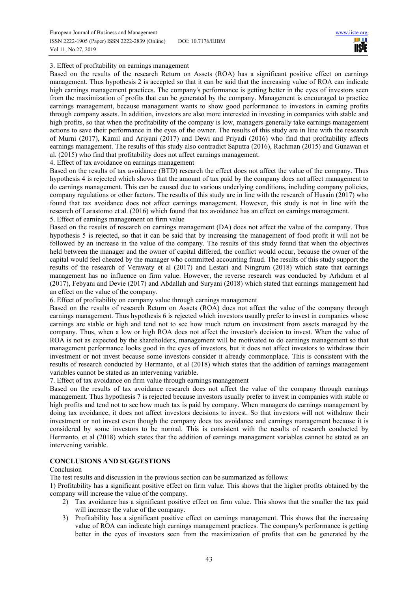HH I **IISTE** 

#### 3. Effect of profitability on earnings management

Based on the results of the research Return on Assets (ROA) has a significant positive effect on earnings management. Thus hypothesis 2 is accepted so that it can be said that the increasing value of ROA can indicate high earnings management practices. The company's performance is getting better in the eyes of investors seen from the maximization of profits that can be generated by the company. Management is encouraged to practice earnings management, because management wants to show good performance to investors in earning profits through company assets. In addition, investors are also more interested in investing in companies with stable and high profits, so that when the profitability of the company is low, managers generally take earnings management actions to save their performance in the eyes of the owner. The results of this study are in line with the research of Murni (2017), Kamil and Ariyani (2017) and Dewi and Priyadi (2016) who find that profitability affects earnings management. The results of this study also contradict Saputra (2016), Rachman (2015) and Gunawan et al. (2015) who find that profitability does not affect earnings management.

4. Effect of tax avoidance on earnings management

Based on the results of tax avoidance (BTD) research the effect does not affect the value of the company. Thus hypothesis 4 is rejected which shows that the amount of tax paid by the company does not affect management to do earnings management. This can be caused due to various underlying conditions, including company policies, company regulations or other factors. The results of this study are in line with the research of Husain (2017) who found that tax avoidance does not affect earnings management. However, this study is not in line with the research of Larastomo et al. (2016) which found that tax avoidance has an effect on earnings management. 5. Effect of earnings management on firm value

Based on the results of research on earnings management (DA) does not affect the value of the company. Thus hypothesis 5 is rejected, so that it can be said that by increasing the management of food profit it will not be followed by an increase in the value of the company. The results of this study found that when the objectives held between the manager and the owner of capital differed, the conflict would occur, because the owner of the capital would feel cheated by the manager who committed accounting fraud. The results of this study support the results of the research of Verawaty et al (2017) and Lestari and Ningrum (2018) which state that earnings management has no influence on firm value. However, the reverse research was conducted by Arhdum et al (2017), Febyani and Devie (2017) and Abdallah and Suryani (2018) which stated that earnings management had an effect on the value of the company.

6. Effect of profitability on company value through earnings management

Based on the results of research Return on Assets (ROA) does not affect the value of the company through earnings management. Thus hypothesis 6 is rejected which investors usually prefer to invest in companies whose earnings are stable or high and tend not to see how much return on investment from assets managed by the company. Thus, when a low or high ROA does not affect the investor's decision to invest. When the value of ROA is not as expected by the shareholders, management will be motivated to do earnings management so that management performance looks good in the eyes of investors, but it does not affect investors to withdraw their investment or not invest because some investors consider it already commonplace. This is consistent with the results of research conducted by Hermanto, et al (2018) which states that the addition of earnings management variables cannot be stated as an intervening variable.

7. Effect of tax avoidance on firm value through earnings management

Based on the results of tax avoidance research does not affect the value of the company through earnings management. Thus hypothesis 7 is rejected because investors usually prefer to invest in companies with stable or high profits and tend not to see how much tax is paid by company. When managers do earnings management by doing tax avoidance, it does not affect investors decisions to invest. So that investors will not withdraw their investment or not invest even though the company does tax avoidance and earnings management because it is considered by some investors to be normal. This is consistent with the results of research conducted by Hermanto, et al (2018) which states that the addition of earnings management variables cannot be stated as an intervening variable.

#### **CONCLUSIONS AND SUGGESTIONS**

#### Conclusion

The test results and discussion in the previous section can be summarized as follows:

1) Profitability has a significant positive effect on firm value. This shows that the higher profits obtained by the company will increase the value of the company.

- 2) Tax avoidance has a significant positive effect on firm value. This shows that the smaller the tax paid will increase the value of the company.
- 3) Profitability has a significant positive effect on earnings management. This shows that the increasing value of ROA can indicate high earnings management practices. The company's performance is getting better in the eyes of investors seen from the maximization of profits that can be generated by the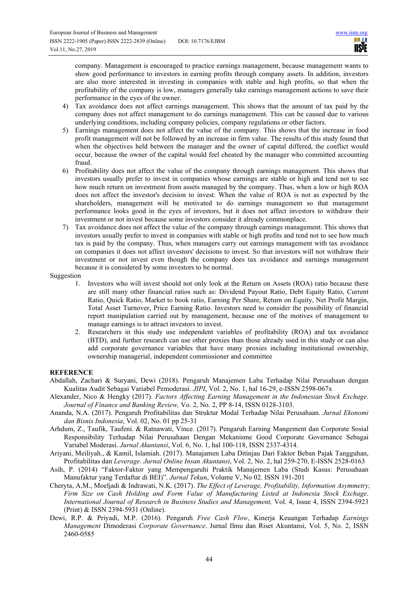company. Management is encouraged to practice earnings management, because management wants to show good performance to investors in earning profits through company assets. In addition, investors are also more interested in investing in companies with stable and high profits, so that when the profitability of the company is low, managers generally take earnings management actions to save their performance in the eyes of the owner.

- 4) Tax avoidance does not affect earnings management. This shows that the amount of tax paid by the company does not affect management to do earnings management. This can be caused due to various underlying conditions, including company policies, company regulations or other factors.
- 5) Earnings management does not affect the value of the company. This shows that the increase in food profit management will not be followed by an increase in firm value. The results of this study found that when the objectives held between the manager and the owner of capital differed, the conflict would occur, because the owner of the capital would feel cheated by the manager who committed accounting fraud.
- 6) Profitability does not affect the value of the company through earnings management. This shows that investors usually prefer to invest in companies whose earnings are stable or high and tend not to see how much return on investment from assets managed by the company. Thus, when a low or high ROA does not affect the investor's decision to invest. When the value of ROA is not as expected by the shareholders, management will be motivated to do earnings management so that management performance looks good in the eyes of investors, but it does not affect investors to withdraw their investment or not invest because some investors consider it already commonplace.
- 7) Tax avoidance does not affect the value of the company through earnings management. This shows that investors usually prefer to invest in companies with stable or high profits and tend not to see how much tax is paid by the company. Thus, when managers carry out earnings management with tax avoidance on companies it does not affect investors' decisions to invest. So that investors will not withdraw their investment or not invest even though the company does tax avoidance and earnings management because it is considered by some investors to be normal.

#### Suggestion

- 1. Investors who will invest should not only look at the Return on Assets (ROA) ratio because there are still many other financial ratios such as: Dividend Payout Ratio, Debt Equity Ratio, Current Ratio, Quick Ratio, Market to book ratio, Earning Per Share, Return on Equity, Net Profit Margin, Total Asset Turnover, Price Earning Ratio. Investors need to consider the possibility of financial report manipulation carried out by management, because one of the motives of management to manage earnings is to attract investors to invest.
- 2. Researchers in this study use independent variables of profitability (ROA) and tax avoidance (BTD), and further research can use other proxies than those already used in this study or can also add corporate governance variables that have many proxies including institutional ownership, ownership managerial, independent commissioner and committee

## **REFERENCE**

- Abdallah, Zachari & Suryani, Dewi (2018). Pengaruh Manajemen Laba Terhadap Nilai Perusahaan dengan Kualitas Audit Sebagai Variabel Pemoderasi. *JIPI*, Vol. 2, No. 1, hal 16-29, e-ISSN 2598-067x
- Alexander, Nico & Hengky (2017). *Factors Affecting Earning Management in the Indonesian Stock Exchage. Journal of Finance and Banking Review,* Vo. 2, No. 2, PP 8-14, ISSN 0128-3103.
- Ananda, N.A. (2017). Pengaruh Profitabilitas dan Struktur Modal Terhadap Nilai Perusahaan. *Jurnal Ekonomi dan Bisnis Indonesia*, Vol. 02, No. 01 pp 25-31
- Arhdum, Z., Taufik, Taufeni. & Ratnawati, Vince. (2017). Pengaruh Earning Mangement dan Corporate Sosial Responsibility Terhadap Nilai Perusahaan Dengan Mekanisme Good Corporate Governance Sebagai Variabel Moderasi. *Jurnal Akuntansi*, Vol. 6, No. 1, hal 100-118, ISSN 2337-4314.
- Ariyani, Meiliyah., & Kamil, Islamiah. (2017). Manajamen Laba Ditinjau Dari Faktor Beban Pajak Tangguhan, Profitabilitas dan *Leverage*. *Jurnal Online Insan Akuntansi*, Vol. 2, No. 2, hal 259-270, E-ISSN 2528-0163
- Asih, P. (2014) "Faktor-Faktor yang Mempengaruhi Praktik Manajemen Laba (Studi Kasus: Perusahaan Manufaktur yang Terdaftar di BEI)". *Jurnal Tekun*, Volume V, No 02. ISSN 191-201
- Cheryta, A.M., Moeljadi & Indrawati, N.K. (2017). *The Effect of Leverage, Profitability, Information Asymmetry, Firm Size on Cash Holding and Form Value of Manufacturing Listed at Indonesia Stock Exchage*. *International Journal of Research in Business Studies and Management,* Vol. 4, Issue 4, ISSN 2394-5923 (Print) & ISSN 2394-5931 (Online).
- Dewi, R.P. & Priyadi, M.P. (2016). Pengaruh *Free Cash Flow*, Kinerja Keuangan Terhadap *Earnings Management* Dimoderasi *Corporate Governance*. Jurnal Ilmu dan Riset Akuntansi, Vol. 5, No. 2, ISSN 2460-0585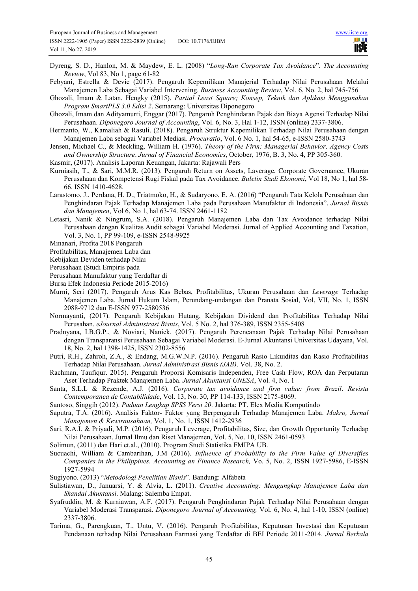- Dyreng, S. D., Hanlon, M. & Maydew, E. L. (2008) "*Long-Run Corporate Tax Avoidance*". *The Accounting Review*, Vol 83, No 1, page 61-82
- Febyani, Estrella & Devie (2017). Pengaruh Kepemilikan Manajerial Terhadap Nilai Perusahaan Melalui Manajemen Laba Sebagai Variabel Intervening. *Business Accounting Review*, Vol. 6, No. 2, hal 745-756
- Ghozali, Imam & Latan, Hengky (2015). *Partial Least Square; Konsep, Teknik dan Aplikasi Menggunakan Program SmartPLS 3.0 Edisi 2*. Semarang: Universitas Diponegoro
- Ghozali, Imam dan Adityamurti, Enggar (2017). Pengaruh Penghindaran Pajak dan Biaya Agensi Terhadap Nilai Perusahaan. *Diponegoro Journal of Accounting*, Vol. 6, No. 3, Hal 1-12, ISSN (online) 2337-3806.
- Hermanto, W., Kamaliah & Rasuli. (2018). Pengaruh Struktur Kepemilikan Terhadap Nilai Perusahaan dengan Manajemen Laba sebagai Variabel Mediasi. *Procuratio*, Vol. 6 No. 1, hal 54-65, e-ISSN 2580-3743
- Jensen, Michael C., & Meckling, William H. (1976). *Theory of the Firm: Managerial Behavior, Agency Costs and Ownership Structure*. *Jurnal of Financial Economics*, October, 1976, B. 3, No. 4, PP 305-360.
- Kasmir, (2017). Analisis Laporan Keuangan, Jakarta: Rajawali Pers
- Kurniasih, T., & Sari, M.M.R. (2013). Pengaruh Return on Assets, Laverage, Corporate Governance, Ukuran Perusahaan dan Kompetensi Rugi Fiskal pada Tax Avoidance. *Buletin Studi Ekonomi*, Vol 18, No 1, hal 58- 66. ISSN 1410-4628.
- Larastomo, J., Perdana, H. D., Triatmoko, H., & Sudaryono, E. A. (2016) "Pengaruh Tata Kelola Perusahaan dan Penghindaran Pajak Terhadap Manajemen Laba pada Perusahaan Manufaktur di Indonesia". *Jurnal Bisnis dan Manajemen*, Vol 6, No 1, hal 63-74. ISSN 2461-1182
- Letasri, Nanik & Ningrum, S.A. (2018). Pengaruh Manajemen Laba dan Tax Avoidance terhadap Nilai Perusahaan dengan Kualitas Audit sebagai Variabel Moderasi. Jurnal of Applied Accounting and Taxation, Vol. 3, No. 1, PP 99-109, e-ISSN 2548-9925
- Minanari, Profita 2018 Pengaruh
- Profitabilitas, Manajemen Laba dan
- Kebijakan Deviden terhadap Nilai
- Perusahaan (Studi Empiris pada
- Perusahaan Manufaktur yang Terdaftar di
- Bursa Efek Indonesia Periode 2015-2016)
- Murni, Seri (2017). Pengaruh Arus Kas Bebas, Profitabilitas, Ukuran Perusahaan dan *Leverage* Terhadap Manajemen Laba. Jurnal Hukum Islam, Perundang-undangan dan Pranata Sosial, Vol, VII, No. 1, ISSN 2088-9712 dan E-ISSN 977-2580536
- Normayanti, (2017). Pengaruh Kebijakan Hutang, Kebijakan Dividend dan Profitabilitas Terhadap Nilai Perusahan. *eJournal Administrasi Bisnis*, Vol. 5 No. 2, hal 376-389, ISSN 2355-5408
- Pradnyana, I.B.G.P., & Noviari, Naniek. (2017). Pengaruh Perencanaan Pajak Terhadap Nilai Perusahaan dengan Transparansi Perusahaan Sebagai Variabel Moderasi. E-Jurnal Akuntansi Universitas Udayana, Vol. 18, No. 2, hal 1398-1425, ISSN 2302-8556
- Putri, R.H., Zahroh, Z.A., & Endang, M.G.W.N.P. (2016). Pengaruh Rasio Likuiditas dan Rasio Profitabilitas Terhadap Nilai Perusahaan. *Jurnal Administrasi Bisnis (JAB),* Vol. 38, No. 2.
- Rachman, Taufiqur. 2015). Pengaruh Proporsi Komisaris Independen, Free Cash Flow, ROA dan Perputaran Aset Terhadap Praktek Manajemen Laba. *Jurnal Akuntansi UNESA*, Vol. 4, No. 1
- Santa, S.L.L & Rezende, A.J. (2016). *Corporate tax avoidance and firm value: from Brazil*. *Revista Contemporanea de Contabilidade*, Vol. 13, No. 30, PP 114-133, ISSN 2175-8069.
- Santoso, Singgih (2012). *Paduan Lengkap SPSS Versi 20*. Jakarta: PT. Elex Media Komputindo
- Saputra, T.A. (2016). Analisis Faktor- Faktor yang Berpengaruh Terhadap Manajemen Laba. *Makro, Jurnal Manajemen & Kewirausahaan,* Vol. 1, No. 1, ISSN 1412-2936
- Sari, R.A.I. & Priyadi, M.P. (2016). Pengaruh Leverage, Profitabilitas, Size, dan Growth Opportunity Terhadap Nilai Perusahaan. Jurnal Ilmu dan Riset Manajemen, Vol. 5, No. 10, ISSN 2461-0593
- Solimun, (2011) dan Hari et.al., (2010). Program Studi Statistika FMIPA UB.
- Sucuachi, William & Cambarihan, J.M (2016). *Influence of Probability to the Firm Value of Diversifies Companies in the Philippines. Accounting an Finance Research,* Vo. 5, No. 2, ISSN 1927-5986, E-ISSN 1927-5994
- Sugiyono. (2013) "*Metodologi Penelitian Bisnis*". Bandung: Alfabeta
- Sulistiawan, D., Januarsi, Y. & Alvia, L. (2011). *Creative Accounting: Mengungkap Manajemen Laba dan Skandal Akuntansi*. Malang: Salemba Empat.
- Syafruddin, M. & Kurniawan, A.F. (2017). Pengaruh Penghindaran Pajak Terhadap Nilai Perusahaan dengan Variabel Moderasi Transparasi. *Diponegoro Journal of Accounting,* Vol. 6, No. 4, hal 1-10, ISSN (online) 2337-3806.
- Tarima, G., Parengkuan, T., Untu, V. (2016). Pengaruh Profitabilitas, Keputusan Investasi dan Keputusan Pendanaan terhadap Nilai Perusahaan Farmasi yang Terdaftar di BEI Periode 2011-2014. *Jurnal Berkala*